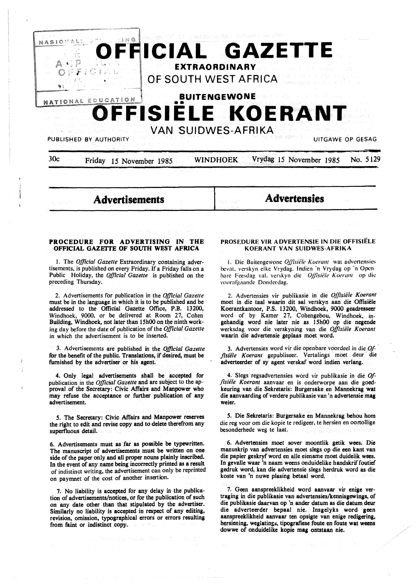

## **PROCEDURE FOR ADVERTISING IN THE OFFICIAL GAZETfE OF SOUTH WEST AFRICA**

I. The *Official Gazette* Extraordinary containing advertisements, is published on every Friday. If a Friday falls on a Public Holiday, the *Official Gazette* is published on the preceding Thursday.

2. Advertisements for publication in the *Official Gazette*  must be in the language in which it is to be published and be addressed to the Official Gazette Office, P.B. 13200, Windhoek, 9000, or be delivered at Room 27, Cohen Building, Windhoek, not later than 15h00 on the ninth working day before the date of publication of the *Official Gazette*  in which the advertisement is to be inserted.

3. Advertisements are published in the *Official Gazette*  for the benefit of the public. Translations, if desired, must be furnished by the advertiser or his agent.

4. Only legal advertisements shall be accepted for publication in the *Official Gazette* and are subject to the approval of the Secretary: Civic Affairs and Manpower who may refuse the acceptance or further publication of any advertisement.

*5.* The Secretary: Civic Affairs and Manpower reserves the right to edit and revise copy and to delete therefrom any superfluous detail.

6. Advertisements must as far as possible be typewritten. The manuscript of advertisements must be written on one side of the paper only and all proper nouns plainly inscribed. In the event of any name being incorrectly printed **as a** result of indistinct writing, the advertisement can only be reprinted on paymnet of the cost of another insertion.

7. No liability is **accepted** for any delay in the publica**tion of advertisements/notices,** or **for the publication of such** on **any date other than that stipulated by the advertiser. Similarly no liability is accepted** in **respect of any editing, revision, omission, typographical errors** or **errors resulting from faint or indistinct copy.** 

### **PROSEDURE VIR ADVERTENSIE IN DIE OFFISIELE KOERANT VAN SUIDWES-AFRIKA**

1. Die Buitengewone *Offisiële Koerant* wat advertensies hcval. verskyn elke Vrydag. lndien ·n Vrydag op ·n Open· hare Feesdag val. verskyn die *Offisiële Koerant* op die vooratgaandc Donderdag.

2. Advertensies vir publikasie in die *Offisiiile Koerant*  moet in die taal waarin dit sal verskyn aan die Offtsiele Koerantkantoor, P.S. 13200, Windhoek, 9000 geadresseer word of by Kamer 27, Cohengebou, Windhoek, ingehandig word nie later nie as 15h00 op die negende werksdag voor die verskyning van die *Offisiiile Koerant*  waarin die advertensie geplaas moet word.

3. Advertensies word vir die openbare voordeel in die *Of-* · fisiële Koerant gepubliseer. Vertalings moet deur die adverteerder of sy agent verskaf word indien verlang.

4. Slegs regsadvertensies word vir publikasie in die *Offisiiile Koerant* aanvaar en is onderworpe aan die goedkeuring van die Sekretaris: Burgersake en Mannekrag wat die aanvaarding of verdere publikasie van 'n advertensie **mag**  weier.

*5.* Die Sekretaris: Burgersake en Mannekrag behou hom die reg voor om die kopie te redigeer, te hersien en oortollige besonderhede weg te laat.

6. Advertensies moet sover moontlik getik wees. Die manuskrip van advertensies moet slegs op die een kant van die papier geskryf word en alle eiename moet duidelik wees. In gevalle waar 'n naam weens onduidelike handskrif foutief gedruk word, kan die advertensie slegs herdruk word as die koste van 'n nuwe plasing betaal word.

7. Geen aanspreeklikheid word aanvaar vir **enige** vertraging in die publikasie van advertensies/kennisgewings, of die publikasie daarvan op 'n ander datum as die datum deur die adverteerder bepaal nie. Insgelyks word geen aanspreeklikheid aanvaar ten opsigte van enige redigering, hersiening, weglatings, tipografiese foute en foute wat weens dowwe of onduidelike kopie mag ontstaan nie.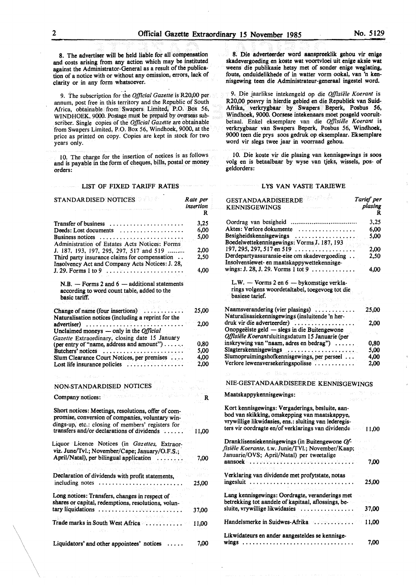8. The advertiser will be held liable for all compensation and costs arising from any action which may be instituted against the Administrator-General as a result of the publication of a notice with or without any omission, errors, lack of clarity or in any form whatsoever.

9. The subscription for the *Official Gazette* is R20,00 per annum, post free in this territory and the Republic of South Africa, obtainable from Swapers Limited, P.O. Box 56, WINDHOEK, 9000. Postage must be prepaid by overseas sub-. scriber. Single copies of the *Official Gazette* are obtainable from Swapers Limited, P.O. Box 56, Windhoek, 9000, at the price as printed on copy. Copies are kept in stock for two years only.

IO. The charge for the insertion of notices is as follows and is payable in the form of cheques, bills, postal or money orders:

#### LIST OF FIXED TARIFF RATES

| STANDARDISED NOTICES                                                                                                                                                                                       | Rate per<br>insertion<br>R |
|------------------------------------------------------------------------------------------------------------------------------------------------------------------------------------------------------------|----------------------------|
| <b>Transfer of business</b>                                                                                                                                                                                | 3,25                       |
| Deeds: Lost documents $\dots\dots\dots\dots\dots\dots$                                                                                                                                                     | 6,00                       |
| Business notices                                                                                                                                                                                           | 5.00                       |
| Administration of Estates Acts Notices: Forms                                                                                                                                                              |                            |
| J. 187, 193, 197, 295, 297, 517 and 519                                                                                                                                                                    | 2,00                       |
| Third party insurance claims for compensation<br>Insolvency Act and Company Acts Notices: J. 28,                                                                                                           | 2,50                       |
| $J. 29.$ Forms 1 to 9 $\ldots \ldots \ldots \ldots \ldots \ldots$                                                                                                                                          | 4,00                       |
| $N.B.$ - Forms 2 and 6 - additional statements<br>according to word count table, added to the<br>basic tariff.                                                                                             |                            |
|                                                                                                                                                                                                            |                            |
| Change of name (four insertions)<br>Naturalisation notices (including a reprint for the                                                                                                                    | 25,00                      |
| advertiser)                                                                                                                                                                                                | 2,00                       |
| Unclaimed moneys $-$ only in the <i>Official</i>                                                                                                                                                           |                            |
| Gazette Extraordinary, closing date 15 January                                                                                                                                                             |                            |
| (per entry of "name, address and amount")                                                                                                                                                                  | 0,80                       |
| Butchers' notices<br>Slum Clearance Court Notices, per premises                                                                                                                                            | 5,00<br>4,00               |
| Lost life insurance policies                                                                                                                                                                               | 2,00                       |
|                                                                                                                                                                                                            |                            |
| NON-STANDARDISED NOTICES<br>er en                                                                                                                                                                          | ina binga Lis              |
| ระชุดโหม่กุลจาโทรศ วิ<br>ello società<br>Company notices:                                                                                                                                                  | R                          |
| Short notices: Meetings, resolutions, offer of com-<br>promise, conversion of companies, voluntary win-<br>dings-up, etc.: closing of members' registers for<br>transfers and/or declarations of dividends |                            |
|                                                                                                                                                                                                            | 11.00                      |
| Liquor Licence Notices (in Gazettes, Extraor-                                                                                                                                                              |                            |
| viz. June/Tvl.; November/Cape; January/O.F.S.:                                                                                                                                                             |                            |
| April/Natal), per bilingual application                                                                                                                                                                    | 7,00                       |
|                                                                                                                                                                                                            |                            |
| Declaration of dividends with profit statements,<br>including notes                                                                                                                                        | 25,00                      |
| Long notices: Transfers, changes in respect of                                                                                                                                                             |                            |
| shares or capital, redemptions, resolutions, volun-                                                                                                                                                        |                            |
|                                                                                                                                                                                                            | 37,00                      |
|                                                                                                                                                                                                            |                            |
| Trade marks in South West Africa                                                                                                                                                                           | 11,00                      |
| Liquidators' and other appointees' notices                                                                                                                                                                 | 7.00                       |

9. Die jaarlikse intekengeld op die *Offisiële Koerant* is R20,00 posvry in hierdie gebied en die Republiek van Suid-Afrika, verkrygbaar by Swapers Beperk, Posbus 56, Windhoek, 9000. Oorsese intekenaars moet posgeld vooruitbetaal. Enke! eksemplare van die *Offisie1e Koerant* is verkrygbaar van Swapers Beperk, Posbus 56, Windhoek, 9000 teen die prys soos gedruk op eksemplaar. Eksemplare word vir slegs twee jaar in voorraad gehou.

foute, onduidelikhede of in watter vorm ookal, van 'n kennisgewing teen die Administrateur-generaal ingestel word.

10. Die koste vir die plasing van kennisgewings is soos volg en is betaalbaar by wyse van tjeks, wissels, pos- of geldorders:

#### LYS VAN VASTE TARIEWE

| <b>GESTANDAARDISEERDE</b><br><b>KENNISGEWINGS</b>     | Tarief per<br>plasing |
|-------------------------------------------------------|-----------------------|
|                                                       | R                     |
|                                                       | 3,25                  |
| Aktes: Verlore dokumente<br>.                         | 6.00                  |
| Besigheidskennisgewings                               | 5,00                  |
| Boedelwettekennisgewings: Vorms J. 187, 193           |                       |
| $197, 295, 297, 517$ en 519 $\ldots$                  | 2,00                  |
| Derdepartyassuransie-eise om skadevergoeding          | 2,50                  |
| Insolvensiewet- en maatskappywettekennisge-           |                       |
| wings: J. 28, J. 29. Vorms 1 tot 9                    | 4,00                  |
|                                                       |                       |
| L.W. - Vorms 2 en 6 - bykomstige verkla-              |                       |
| rings volgens woordetaltabel, toegevoeg tot die       |                       |
| basiese tarief.                                       |                       |
|                                                       |                       |
| Naamsverandering (vier plasings)                      | 25,00                 |
| Naturalisasiekennisgewings (insluitende 'n her-       |                       |
| druk vir die adverteerder)                            | 2.00                  |
| Onopgeëiste geld — slegs in die Buitengewone          |                       |
| Offisiële Koerantsluitingsdatum 15 Januarie (per      |                       |
| inskrywing van "naam, adres en bedrag")               | 0,80                  |
| Slagterskennisgewings                                 | 5,00                  |
| Slumopruimingshofkennisgewings, per perseel           | 4.00                  |
| Verlore lewensversekeringspolisse                     | 2,00                  |
| the conflictions of confli<br>Sale.                   |                       |
| NIE-GESTANDAARDISEERDE KENNISGEWINGS                  |                       |
| オレントル<br>Maatskappykennisgewings:                     |                       |
| Kort kennisgewings: Vergaderings, besluite, aan-      |                       |
| bod van skikking, omskepping van maatskappye,         |                       |
| vrywillige likwidasies, ens.: sluiting van lederegis- |                       |
| ters vir oordragte en/of verklarings van dividende    | 11.00                 |
|                                                       |                       |
| Dranklisensiekennisgewings (in Buitengewone Of-       |                       |
| fisiële Koerante, t.w. Junie/TVl.; November/Kaap;     |                       |
| Januarie/OVS; April/Natal) per tweetalige             |                       |
|                                                       | 7,00                  |
|                                                       |                       |
| Verklaring van dividende met profytstate, notas       |                       |
| $ingesluit \dots \dots \dots \dots \dots$             | 25,00                 |
|                                                       |                       |
| Lang kennisgewings: Oordragte, veranderings met       |                       |
| betrekking tot aandele of kapitaal, aflossings, be-   |                       |
| sluite, vrywillige likwidasies                        | 37,00                 |
|                                                       |                       |
| Handelsmerke in Suidwes-Afrika                        | 11,00                 |
| Likwidateurs en ander aangesteldes se kennisge-       |                       |
|                                                       | 7,00                  |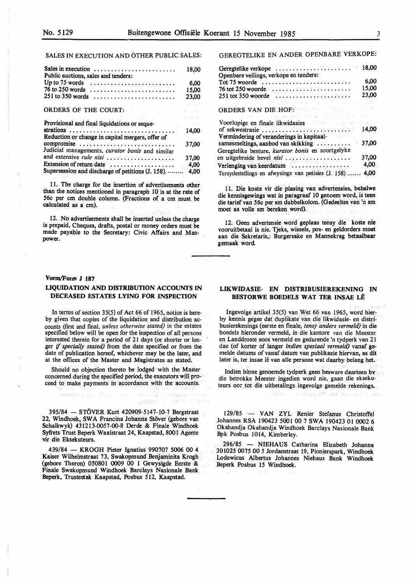# SALES IN EXECUTION AND OTHER PUBLIC SALES:

| Sales in execution $\dots \dots \dots \dots \dots \dots \dots$<br>Public auctions, sales and tenders: | 18,00 |
|-------------------------------------------------------------------------------------------------------|-------|
| Up to 75 words $\dots \dots \dots \dots \dots \dots \dots \dots \dots$                                | 6,00  |
| $76$ to 250 words $\ldots \ldots \ldots \ldots \ldots \ldots \ldots$                                  | 15,00 |
| $251$ to 350 words                                                                                    | 23,00 |
| and the state of the state of the state of the state of the                                           |       |
| ORDERS OF THE COURT:                                                                                  |       |
| state of the community of the community of the                                                        |       |
| Provisional and final liquidations or seque-                                                          |       |
|                                                                                                       | 14.00 |
| Reduction or change in capital mergers, offer of                                                      |       |
| compromise                                                                                            | 37.00 |
| Judicial managements, curator bonis and similar                                                       |       |
| and extensive rule nisi                                                                               | 37,00 |
| Extension of return date                                                                              | 4,00  |
| Supersession and discharge of petitions (J. 158).                                                     | 4,00  |

11. The charge for the insertion of advertisements other than the notices mentioned in paragraph 10 is at the rate of 56c per cm double column. (Fractions of a cm must be calculated as a cm).

12. No advertisements shall be inserted unless the charge is prepaid, Cheques, drafts, postal or money orders must be made payable to the Secretary: Civic Affairs and Manpower.

#### **Vorm/Form J 187**

# **LIQUIDATION AND DISTRIBUTION ACCOUNTS IN DECEASED ESTATES LYING FOR INSPECTION**

In terms of section 35(5) of Act 66 of 1965, notice is hereby given that copies of the liquidation and distribution accounts (first and fmal, *unless otherwise stated)* in the estates specified below will be open for the inspection of all persons interested therein for a period of 21 days (or shorter or longer *if specially stated)* from the date specified or from the date of publication hereof, whichever may be the later, and at the offices of the Master and Magistrates as stated.

Should no objection thereto be lodged with the Master concerned during the specified period, the executors will proceed to make payments in accordance with the accounts.

395/84 - STOVER Kurt 420909-5147-10-7 Bergstraat 22, Windhoek, SWA Francina Johanna Stöver (gebore van Schalkwyk) 431213-0057-00.8 Derde & Finale Windhoek Syfrets Trust Beperk Waalstraat 24, Kaapstad, 8001 Agente vir die Eksekuteurs.

439/84 - KROGH Pieter Ignatius 990707 5006 00 4 Kaiser Wilhelmstraat 73, Swakopmund Benjaminita Krogh (gebore Theron) 050801 0009 00 1 Gewysigde Eerste & Finale Swakopmund Windhoek Barclays Nasionale Bank Beperk, Trusteetak Kaapstad, Posbus 512, Kaapstad.

GEREGTELIKE EN ANDER OPENBARE VERKOPE:

| Geregtelike verkope<br>Openbare veilings, verkope en tenders:                                                            | 18.00 |
|--------------------------------------------------------------------------------------------------------------------------|-------|
| Tot 75 woorde                                                                                                            | 6.00  |
|                                                                                                                          | 15,00 |
|                                                                                                                          | 23,00 |
| a (19 <sup>87)</sup> nashrida ne ta battari koma ta 1988 ne ta 1992. A matsayin                                          |       |
| ORDERS VAN DIE HOF: Well and a strategy of the control<br>a consideration of the last state and at outragilly how within |       |
| Voorlopige en finale likwidasies and web her assembly the                                                                | 14,00 |
| Vermindering of veranderings in kapitaal-                                                                                |       |
| samesmeltings, aanbod van skikking                                                                                       | 37,00 |
| Geregtelike besture, kurator bonis en soortgelyke                                                                        |       |
|                                                                                                                          | 37,00 |
| Verlenging van keerdatum $\cdots\cdots\cdots\cdots\cdots\cdots$                                                          | 4,00  |
| Tersydestellings en afwysings van petisies (J. 158)                                                                      | 4,00  |

11. Die koste vir die plasing van advertensies, behalwe die kennisgewings wat in paragraaf 10 genoem word, is teen die tarief van 56c per sm dubbelkolom. (Gedeeltes van 'n sm moet as voile sm bereken word).

12. Geen advertensie word geplaas tensy die koste nie vooruitbetaal is nie. Tjeks, wissels, pos- en geldorders moet aan die Sekretaris,: Burgersake en Mannekrag betaalbaar gemaak word

# **LIKWIDASIE- EN DISTRIBUSIEREKENING IN BESTORWE BOEDELS WAT TER INSAE LÊ**

Ingevolge artikel 35(5) van Wet 66 van 1965, word hierby kennis gegee dat duplikate van die likwidasie- en distribusierekenings (eerste en fmale, *tensy anders vermeld)* in die boedels hieronder vermeld, in die kantore van die Meester en Landdroste soos vermeld en gedurende 'n tydperk van 21 dae (of korter of !anger *indien spesiaal vermeld)* vanaf **ge**melde datums of vanaf datum van publikasie hiervan, as dit later is, ter insae lê van alle persone wat daarby belang het.

Indien binne genoemde tydperk geen besware daarteen bv die betrokke Meester ingedien word nie, gaan die eksekuteurs oor tot die uitbetalings ingevolge gemelde rekenings.

ornative sets basican era b

129/85 - VAN ZYL Renier Stefanus Christoffel Johannes RSA 190423 5001 00 7 SWA 190423 01 0002 6 Okahandja Okahandja Windhoek Barclays Nasionale Bank Bpk Posbus 1014, Kimberley.

296/85 - **NIEHAUS** Catharina Elizabeth Johanna 301025 0075 00 *5* Jordanstraat 19, Pionierspark, Windhoek Lodewicus Albertus Johannes Niehaus Bank Windhoek Beperk Posbus 15 Windhoek.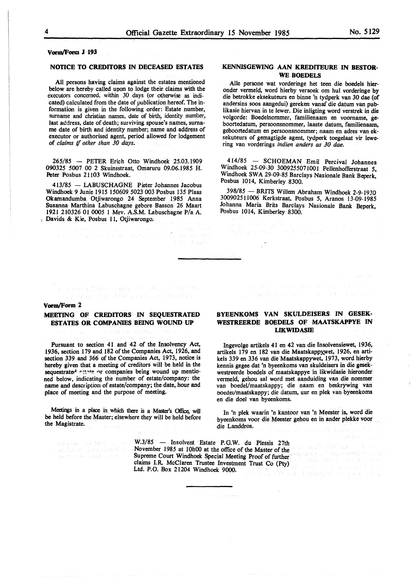# **Vorm/Form J 193**

#### **NOTICE TO CREDITORS** IN **DECEASED ESTATES**

All persons having claims against the estates mentioned below are hereby called upon to lodge their claims with the executors concerned, within 30 days (or otherwise as indicated) calculated from the date of publication hereof. The information is given in the following order: Estate number, surname and christian names, date of birth, identity number, last address, date of death; surviving spouse's names, surname date of birth and identity number; name and address of executor or authorised agent, period allowed for lodgement of *claims* if *other than 30 days.* 

265/85 - PETER Erich Otto Windhoek 25.03.1909 090325 5007 00 2 Skuinsstraat, Omaruru 09.06.1985 H. Peter Posbus 21103 Windhoek.

413/85 - LABUSCHAGNE Pieter Johannes Jacobus Windhoek 9 Junie 1915 150609 5023 003 Posbus 135 Plaas Okamandumba Otjiwarongo 24 September 1985 Anna Susanna Marthina Labuschagne gebore Basson 26 Maart 1921 210326 01 0005 1 Mev. A.S.M. Labuschagne P/a A. Davids & Kie, Posbus 11, Otjiwarongo.

# **KENNISGEWING AAN KREDITEURE IN BESTOR-WE BOEDELS**

Alie persone wat vorderinge het teen die boedels hieronder vermeld, word hierby versoek om hul vorderinge by die betrokke eksekuteurs en binne 'n tydperk van 30 dae (of andersins soos aangedui) gereken vanaf die datum van publikasie hiervan in te lewer. Die inligting word verstrek in die volgorde: Boedelnommer, familienaam en voomame, **ge**boortedatum, persoonsnommer, laaste datum, familienaam, geboortedatum en persoonsnommer; naam en adres van eksekuteurs of gemagtigde agent, tydperk toegelaat vir lewering van vorderings *indien anders as 30 dae.* 

414/85 - SCHOEMAN Emil Percival Johannes Windhoek 25-09-30 3009255071001 Pellenhofferstraat *5,*  Windhoek SWA 29-09-85 Barclays Nasionale Bank Beperk, Posbus 1014, Kimberley 8300.

398/85 - BRITS Willem Abraham Windhoek 2-9-1930 3009025 ll006 Kerkstraat, Posbus *5,* Aranos 13-09-1985 Johanna Maria Brits Barclays Nasionale Bank Beperk, Posbus 1014, Kimberley 8300.

#### **Vorm/Form 2**

# **MEETING OF CREDITORS IN SEQUESTRATED ESTATES OR COMPANIES BEING WOUND UP**

 $\label{eq:2.1} \varphi_{\alpha\beta}(\sigma_{\alpha\beta}(\beta),\beta_{\alpha\beta}(\beta))\mathbb{E}[\mathcal{H}_{\alpha\beta}(\beta)]\mathbb{E}[\mathcal{H}_{\alpha\beta}(\beta),\beta_{\alpha\beta}(\beta),\beta_{\alpha\beta}(\beta_{\alpha\beta}(\beta),\beta_{\alpha\beta}(\beta_{\alpha\beta}(\beta)))$ 

Pursuant to section 41 and 42 of the Insolvency Act, 1936, section 179 and 182 of the Companies Act, 1926, and section 339 and 366 of the Companies Act, 1973, notice is hereby given that a meeting of creditors will be held in the sequestrated exate or companies being wound up mentioned below, indicating the number of estate/company: the name and description of estate/company; the date, hour and place of meeting and the purpose of meeting.

Meetings in a place in which there is a Master's Office, will be held before the Master; elsewhere they will be held before the Magistrate.

answer. the frill of <u>Jan Jury VI , Part School</u> In this Provincial constru-

W.3/85 - Insolvent Estate P.G.W. du Plessis 27th November 1985 at 10h00 at the office of the Master of the Supreme Court Windhoek Special Meeting Proof of further claims LR. McClaren Trustee Investment Trust Co (Pty)<br>Ltd. P.O. Rox 21204 Windhoels 0000 Ltd. P.O. Box 21204 Windhoek 9000. 147 antaŭ lingvis de la nota 1994

# **BYEENKOMS VAN SKULDEISERS IN GESEK-WESTREERDE BOEDELS OF MAATSKAPPYE IN LIKWIDASIE**

lngevolge artikels 41 en 42 van die Insolvensiewet, 1936, artikels 179 en 182 van die Maatskappywet, 1926, en artikels 339 en 336 van die Maatskappywet, 1973, word hierby kennis gegee dat 'n byeenkoms van skuldeisers in die gesekwestreerde boedels of maatskappye in likwidasie hieronder vermeld, gehou sal word met aanduiding van die nommer van boedel/maatskappy; die naam en beskrywing van boedel/maatskappy; die datum, uur en plek van byeenkoms en die doel van byeenkoms.

In 'n plek waarin 'n kantoor van 'n Meester is, word die byeenkoms voor die Meester gehou en in ander plekke voor die Landdros.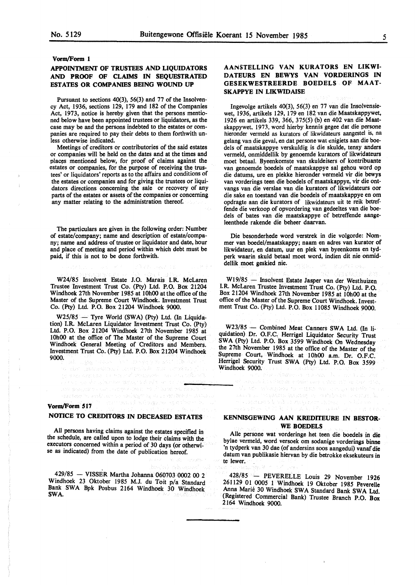#### **Vorm/Form 1**

# **APPOINTMENT OF TRUSTEES AND LIQUIDATORS AND PROOF OF CLAIMS IN SEQUESTRATED ESTATES OR COMPANIES BEING WOUND UP**

Pursuant to sections 40(3), 56(3) and 77 of the Insolvency Act, 1936, sections 129, 179 and 182 of the Companies Act, 1973, notice is hereby given that the persons mentioned below have been appointed trustees or liquidators, as the case may be and the persons indebted to the estates or companies are required to pay their debts to them forthwith unless otherwise indicated.

Meetings of creditors or contributories of the said estates or companies will be held on the dates and at the times and places mentioned below, for proof of claims against the estates or companies, for the purpose of receiving the trustees' or liquidators' reports as to the affairs and conditions of the estates or companies and for giving the trustees or liquidators directions concerning the sale or recovery of any parts of the estates or assets of the companies or concerning any matter relating to the administration thereof.

The particulars are given in the following order: Number of estate/company; name and description of estate/company; name and address of trustee or liquidator and date, hour and place of meeting and period within which debt must be paid, if this is not to be done forthwith.

W24/85 Insolvent Estate J.O. Marais I.R McLaren Trustee Investment Trust Co. (Pty) Ltd. P.O. Box 21204 Windhoek 27th November 1985 at 10h00 at the office of the Master of the Supreme Court Windhoek. Investment Trust Co. (Pty) Ltd. P.O. Box 21204 Windhoek 9000.

W25/85 - Tyre World **(SW A)** (Pty) Ltd (In Liquidation) I.R McLaren Liquidator Investment Trust Co. (Pty) Ltd. P.O. Box 21204 Windhoek 27th November 1985 at 10h00 at the office of The Master of the Supreme Court Windhoek General Meeting of Creditors and Members. Investment Trust Co. (Pty) Ltd. P.O. Box 21204 Windhoek 9000.

a das genaaditus Lagraniak noo gebied

# **AANSTELLING VAN KURATORS EN LIKWI-DATEURS EN BEWYS VAN VORDERINGS IN GESEKWESTREERDE BOEDELS OF MAAT-SKAPPYE IN LIKWIDAISE**

Ingevolge artikels 40(3), 56(3) en 77 van die Insolvensiewet, 1936, artikels 129, 179 en 182 van die Maatskappywet, 1926 en artikels 339, 366, 375(5) (b) en 402 van die **Maat**skappywet. 1973, word hierby kennis gegee dat die persone hieronder vermeld as kurators of likwidateurs aangestel is, na gelang van die geval, en dat persone wat enigiets aan die boedels of maatskappye verskuldig is die skulde, tensy anders vermeld, onmiddellik by genoemde kurators of likwidateurs moet betaal. Byeenkomste van skuldeisers of kontribuante van genoemde boedels of maatskappye sal gehou word op die datums, ure en plekke hieronder vermeld vir die bewys van vorderings teen die boedels of maatskappye, vir die ontvangs van die verslae van die kurators of likwidateurs oor die sake en toestand van die boedels of maatskappye en om opdragte aan die kurators of likwidateurs uit te reik betreffende die verkoop of opvordering van gedeeltes van die boedels of bates van die maatskappye of betreffende **aange**leenthede rakende die beheer daarvan.

Die besonderhede word verstrek in die volgorde: Nommer van boedel/maatskappy; naam en adres van kurator of likwidateur, en datum, uur en plek van byeenkoms en tydperk waarin skuld betaal moet word, indien dit nie onmiddellik moet geskied nie.

W19/85 - Insolvent Estate Jasper van der Westhuizen I.R. McLaren Trustee Investment Trust Co. (Pty) Ltd. P.O. Box 21204 Windhoek 27th November 1985 at 10h00 at the office of the Master of the Supreme Court Windhoek. Investment Trust Co. (Pty) Ltd. P.O. Box ll085 Windhoek 9000.

W23/85 - Combined Meat Canners SWA Ltd. (In liquidation) Dr. O.F.C. Herrigel Liquidator Security Trust SWA (Pty) Ltd. P.O. Box 3599 Windhoek On Wednesday the 27th November 1985 at the office of the Master of the Supreme Court, Windhoek at 10h00 a.m. Dr. O.F.C. Herrigel Security Trust SWA (Pty) Ltd. P.O. Box 3599 Windhoek 9000.

Activities and all the contract was

# **Vorm/Form 517**

# **NOTICE TO CREDITORS IN DECEASED ESTATES**

tur tangi sé ang siga na agus

All persons having claims against the estates specified in the schedule, are called upon to lodge their claims with the executors concerned within a period of 30 days (or otherwise as indicated) from the date of publication hereof.

429/85 - VISSER Martha Johanna 060703 0002 00 2 Windhoek 23 Oktober 1985 **M.J.** du Toit p/a Standard Bank SWA Bpk Posbus 2164 Windhoek 30 Windhoek SWA.

# **KENNISGEWING AAN KREDITEURE IN BESTOR-WE BOEDELS**

Alie persone wat vorderinge bet teen die boedels in die bylae vermeld, word versoek om sodanige vorderings binne 'n tydperk van 30 dae (of andersins soos aangedui) vanaf die datum van publikasie hiervan by die betrokke eksekuteurs in te !ewer.

428/85 - PEVERELLE Louis 29 November 1926 261129 01 0005 1 Windhoek 19 Oktober 1985 Peverelle Anna Marie 30 Windhoek SWA Standard Bank SWA Ltd. (Registered Commercial Bank) Trustee Branch P.O. Box 2164 Windhoek 9000.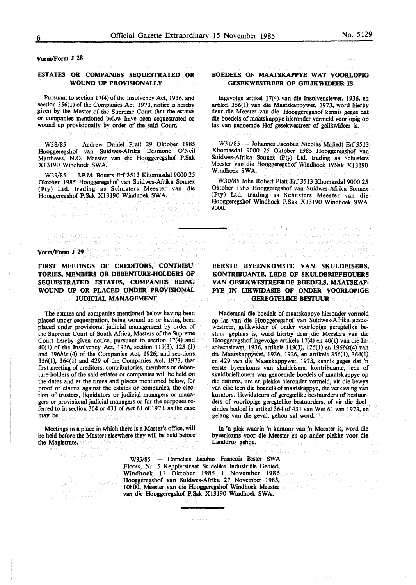**vonn/Form J 28** 

## **ESTATES OR COMPANIES SEQUESTRATED OR WOUND UP PROVJSIONALLY**

Pursuant to section 17(4) of the Insolvency Act, 1936, and section 356(1) of the Companies Act. 1973, notice is herebv given by the Master of the Supreme Court that the estates or companies mentioned bei.yw have been sequestrated or wound up provisionally by order of the said Court.

W38/85 - Andrew Daniel Pratt 29 Oktober 1985 Hooggeregshof van Suidwes-Afrika Desmond O'Neil Matthews, N.O. Meester van die Hooggeregshof P.Sak Xl3190 Windhoek **SWA.** 

W29/85 - J.P.M. Bouers Erf 3513 Khomasdal 9000 25 Oktober 1985 Hooggeregshof van Suidwes-Afrika Sonnex (Pty) Ltd. trading as Schusters Meester van die Hooggeregshof P.Sak Xl3190 Windhoek SWA.

י ביותר באופן המשפח האופן קרבי ואת המשפח האופן האופן היותר.<br>באופן האופן לאת המשפח לאפי קרבי ואל הה אופן לאחר את מבר.<br>היותר של שלום משפחים לאפי אחר

iteriorum a portunum qu'ar moyaler

# **Von Vonnafter Stein American American**<br>The measure can missure the mean intervals of a method of any state<br>**Vorm/Form J 29** and descriptions and any measure in the state of the material of any method of the state of the

# **FIRST MEETINGS OF CREDITORS, CONTRIBU-TORIES, MEMBERS OR DEBENTURE-HOLDERS OF**  SEQUESTRATED ESTATES, COMPANIES BEING **WOUND UP OR PLACED UNDER PROVISIONAL JUDICIAL MANAGEMENT**

The estates and companies mentioned below having been placed under sequestration, being wound up or having been placed under provisional judicial management by order of the Supreme Court of South Africa, Masters of the Supreme Court hereby given notice, pursuant to section 17(4) and 40(1) of the Insolvency Act, 1936, section 119(3), 125 (1) and 196bis (4) of the Companies Act, 1926, and sec-tions 356(1), 364(1) and 429 of the Companies Act, 1973, that first meeting of creditors, contributories, members or debenture-holders of the said estates or companies will be held on the dates and at the times and places mentioned below, for proof of claims against the estates or companies, the election of trustees, liquidators or judicial managers or managers or provisional judicial managers or for the purposes referred to in section 364 or 431 of Act 61 of 1973, as the case may be.

Meetings in a place in which there is a Master's office, will be held before the Master; elsewhere they will be held before the **Magistrate.** 

**BOEDELS OF MAATSKAPPYE WAT VOORLOPIG GESEKWESTREER OF GELIKWIDEER IS** 

lngevolge artikel 17(4) van die Insolvensiewet, 1936, en artikel 356(1) van die Maatskappywet, 1973, word hierby deur die Meester van die Hooggeregshof kennis gegee dat die boedels of maatskappye hieronder vermeld voorlopig op las van genoemde Hof gesekwestreer of gelikwideer is.

W31/85 - Johannes Jacobus Nicolas Majiedt Erf 3513 Khomasdal 9000 25 Oktober 1985 Hooggeregshof van Suidwes-Afrika Sonnex (Pty) Ltd. trading as Schusters Meester van die Hooggeregshof Windhoek P/Sak XI3190 Windhoek **SWA.** 

W30/85 John Robert Platt Erf 3513 Khomasdal 9000 25 Oktober 1985 Hooggeregshof van Suidwes-Afrika Sonnex (Pty) Ltd. trading as Schusters Meester van die Hooggeregshof Windhoek P.Sak Xl3190 Windhoek SWA 9000.

ornal vansava iki sin mengaan sasa dagan

**EERSTE BYEENKOMSTE VAN SKULDEISERS, KONTRIBUANTE, LEDE OF SKULDBRIEFHOUERS VAN GESEKWESTREERDE BOEDELS, MAATSKAP-PYE IN LIKWIDASIB OF ONDER VOORLOPIGE GEREGTELIKE BESTUUR** 

Nademaal die boedels of maatskappye hieronder vermeld op las van die Hooggeregshof van Suidwes-Afrika. gesekwestreer, gelikwideer of onder voorlopige geregtelike bestuur geplaas is, word hierby deur die Meesters van die Hooggeregshof ingevolge artikels 17(4) en 40(1) van die Insolvensiewet, 1936, artikels 119(3), 125(1) en 196bis(4) van die Maatskappywet, 1936, 1926, en artikels 356(1), 364(1) en 429 van die Maatskappywet, 1973, kennis gegee dat 'n eerste byeenkoms van skuldeisers, kontribuante, lede of skuldbriefhouers van genoemde boedels of maatskappye op die datums, ure en plekke hieronder vermeld, vir die bewys van eise teen die boedels of maatskappye, die verkiesing van kurators, likwidateurs of geregtelike bestuurders of bestuurders of voorlopige geregtelike bestuurders, of vir die doeleindes bedoel in artikel 364 of 431 van Wet 61 van 1973, na gelang van die geval, gehou sal word.

In 'n plek waarin 'n kantoor van 'n Meester is, word die byeenkoms voor die Meester en op ander plekke voor die Landdros gehou. J. ak a behal  $\{z_1^i\}_{i=1}^n$  .

arang la bat da mai aturuhan na

W35/85 - Cornelius Jacobus Francois Bester SWA Floors, Nr. *5* Kepplerstraat Suidelike Industriele Gebied, Windhoek 11 Oktober 1985 1 November 1985 and the state of the Hooggeregshof van Suidwes-Afrika 27 November 1985, 1 OhOO, Meester van die Hooggeregshof Windhoek Meester van die Hooggeregshof P.Sak X13190 Windhoek SWA.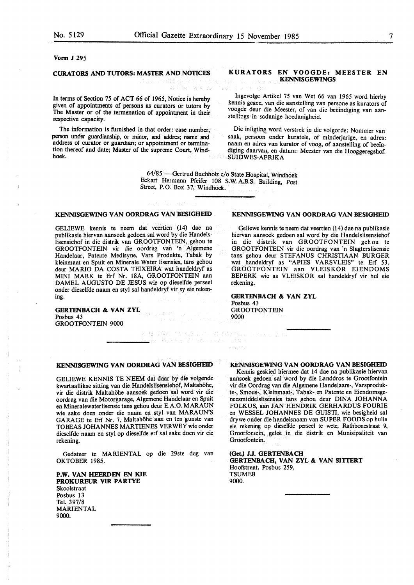#### **Vonn J** 295

# **CURATORS AND TUTORS: MASTER AND NOTICES**

(1992) 网络海绵类学家 经保险人 经实际资本

In terms of Section 75 of ACT 66 of 1965, Notice is hereby given of appointments of persons as curators or tutors by The Master or of the termenation of appointment in their respective capacity.

The information is furnished in that order: case number, person under guardianship, or minor, and addres; name and address or curator or guardian; or appointment or termination thereof and date; Master of the supreme Court, Windhoek.

# **KURATORS EN VOOGDE: MEESTER EN KENNISGEWINGS**

lngevolge Artikel 75 van Wet 66 van 1965 word hierby kennis gegee, van die aanstelling van persone as kurators of voogde deur die Meester, of van die beëindiging van aanstellings in sodanige hoedanigheid.

Die inligting word verstrek in die volgorde: Nommer van saak, persoon onder kuratele, of minderjarige, en adres: naam en adres van kurator of voog, of aanstelling of beeindiging daarvan, en datum: Meester van die Hooggeregshof. **SUIDWES-AFRIKA** 

64/85 - Gertrud Buchholz c/o State Hospital, Windhoek Eckart Hermann Pfeifer 108 S.W.A.B.S. Building, Post Street, P.O. Box 37, Windhoek.

スール 意味性についる感覚しているものないない。 288 转移形式 等于规则 网络小海豚科

#### **KENNISGEWING VAN OORDRAG VAN BESIGHEID**

GELIEWE kennis te neem dat veertien (14) dae na publikasie hiervan aansoek gedoen sal word by die Handelslisensiehof in die distrik van GROOTFONTEIN, gehou te GROOTFONTEIN vir die oordrag van 'n Algemene Handelaar, Patente Medisyne, Vars Produkte, Tabak by kleinmaat en Spuit en Minerale Water lisensies, tans gehou deur MARIO DA COSTA TEIXEIRA wat handeldryf as MINI MARK te Erf Nr. 18A, GROOTFONTEIN aan DAMEL AUGUSTO DE JESUS wie op dieselfde perseel onder dieselfde naam en styl sal handeldryf vir sy eie rekening.

#### **GERTENBACH & VAN ZYL**  $\chi_{\rm CO} = \chi_{\rm gas}$  , ke  $\omega_{\rm eff}$ Posbus 43 GROOTFONTEIN 9000

#### **KENNISGEWING VAN OORDRAG VAN BESIGHEID**

GELIEWE KENNIS TE NEEM dat daar by die volgende kwartaallikse sitting van die Handelslisensiehof, Maltahohe, vir die distrik Maltahohe aansoek gedoen sal word vir die oordrag van die Motorgarage, Algemene Handelaar en Spuit en Mineralewaterlisensie tans gehou deur E.A.O. MARA UN wie sake doen onder die naam en sty! van MARAUN'S GARAGE te Erf Nr. 7, Maltahohe aan en ten gunste van TOBEAS JOHANNES MARTIENES VERWEY wie onder dieselfde naam en sty! op dieselfde erf sal sake doen vir eie rekening.

Gedateer te MARIENTAL op die 29ste dag van OKTOBER 1985.

# **P.W. VAN HEERDEN EN KIE PROKUREUR VIR PARTYE**

Skoolstraat Posbus 13 Tel. 397/8 MARIENTAL 9000.

#### **KENNISGEWING VAN OORDRAG VAN BESIGHEID**

Geliewe kennis te neem dat veertien (I 4) dae na publikasie hiervan aansoek gedoen sal word by die Handelslisensiehof in die distrik van GROOTFONTEIN gehou te GROOTFONTEIN vir die oordrag van 'n Slagterslisensie tans gehou deur STEFANUS CHRISTIAAN BURGER wat handeldryf as "APIES VARSVLEIS" te Erf 53, GROOTFONTEIN aan VLEISKOR EIENDOMS BEPERK wie as VLEISKOR sal handeldryf vir hul eie rekening.

**GERTENBACH & VAN ZYL** Posbus 43 GROOTFONTEIN 9000

ركاب ولولو

#### **KENNISGEWING VAN OORDRAG VAN BESIGHEID**

Kennis geskied hiermee dat 14 dae na publikasie hiervan aansoek gedoen sal word by die Landdros te Grootfontein vir die Oordrag van die Algemene Handelaars-, Varsprodukte-, Smous-, Kleinmaat-, Tabak- en Patente en Eiendomsgeneesmiddelslisensies tans gehou deur **DINA JOHANNA**  FOLKUS, aan JAN HENDRIK GERHARDUS FOURIE en WESSEL JOHANNES DE GUISTI, wie besigheid sal drywe onder die handelsnaam van SUPER FOODS op hulle eie rekening op dieselfde perseel te wete, Rathbonestraat 9, Grootfontcin, gelee in die distrik en Munisipaliteit van Grootfontein.

#### **(Get.) J.J. GERTENBACH**  GERTENBACH, VAN ZYL & VAN SITTERT Hoofstraat, Posbus 259, TSUMEB 9000.